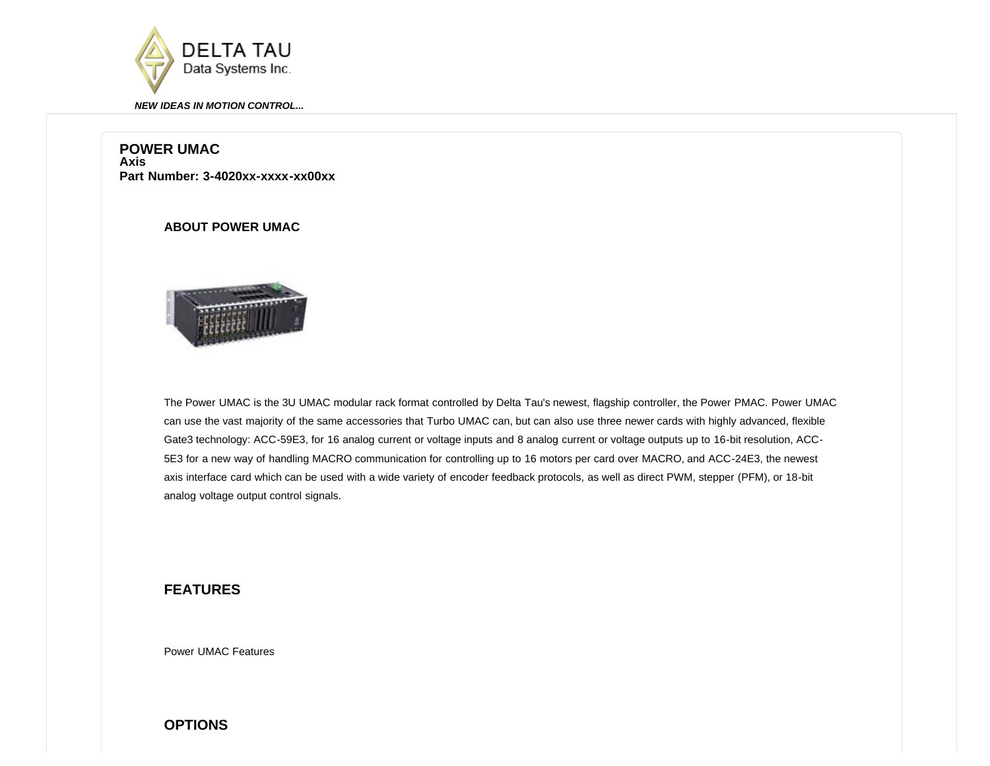

## **POWER UMAC Axis Part Number: 3-4020xx-xxxx-xx00xx**

# **ABOUT POWER UMAC**



The Power UMAC is the 3U UMAC modular rack format controlled by Delta Tau's newest, flagship controller, the Power PMAC. Power UMAC can use the vast majority of the same accessories that Turbo UMAC can, but can also use three newer cards with highly advanced, flexible Gate3 technology: ACC-59E3, for 16 analog current or voltage inputs and 8 analog current or voltage outputs up to 16-bit resolution, ACC-5E3 for a new way of handling MACRO communication for controlling up to 16 motors per card over MACRO, and ACC-24E3, the newest axis interface card which can be used with a wide variety of encoder feedback protocols, as well as direct PWM, stepper (PFM), or 18-bit analog voltage output control signals.

# **FEATURES**

[Power UMAC Features](http://www.deltatau.com/DT_PowerPMAC/PowerPMACHome.aspx)

**OPTIONS**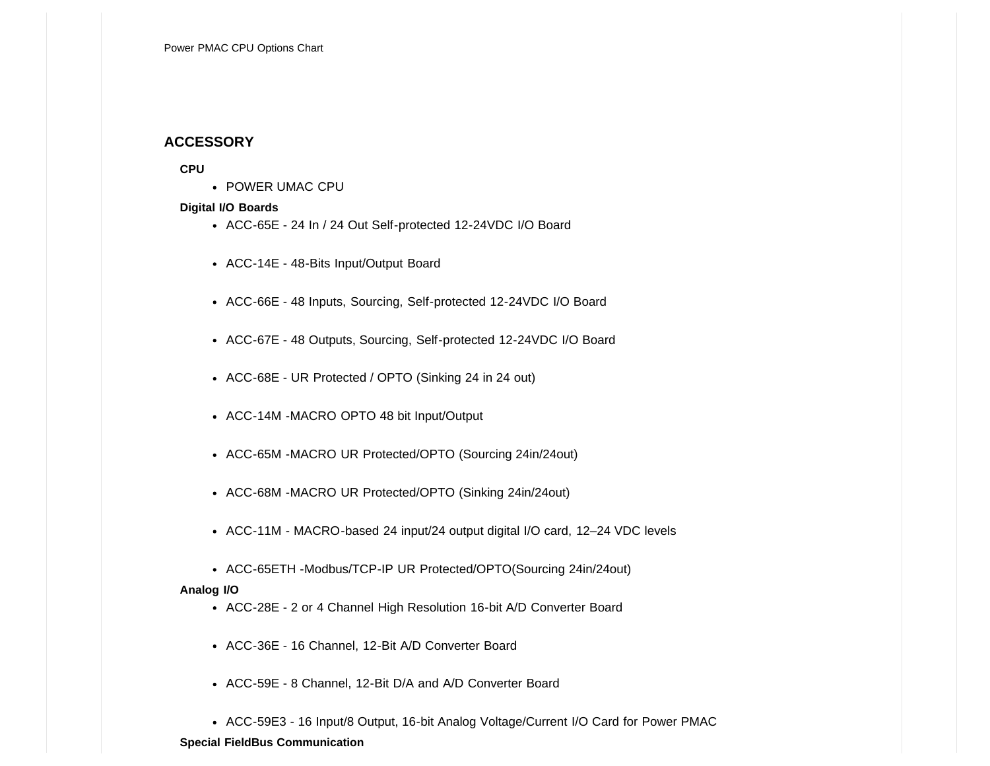# **ACCESSORY**

## **CPU**

• [POWER UMAC CPU](javascript:__doPostBack()

## **Digital I/O Boards**

- [ACC-65E 24 In / 24 Out Self-protected 12-24VDC I/O Board](javascript:__doPostBack()
- [ACC-14E 48-Bits Input/Output Board](javascript:__doPostBack()
- [ACC-66E 48 Inputs, Sourcing, Self-protected 12-24VDC I/O Board](javascript:__doPostBack()
- [ACC-67E 48 Outputs, Sourcing, Self-protected 12-24VDC I/O Board](javascript:__doPostBack()
- [ACC-68E UR Protected / OPTO \(Sinking 24 in 24 out\)](javascript:__doPostBack()
- [ACC-14M -MACRO OPTO 48 bit Input/Output](javascript:__doPostBack()
- [ACC-65M -MACRO UR Protected/OPTO \(Sourcing 24in/24out\)](javascript:__doPostBack()
- [ACC-68M -MACRO UR Protected/OPTO \(Sinking 24in/24out\)](javascript:__doPostBack()
- [ACC-11M MACRO-based 24 input/24 output digital I/O card, 12–24 VDC levels](javascript:__doPostBack()
- [ACC-65ETH -Modbus/TCP-IP UR Protected/OPTO\(Sourcing 24in/24out\)](javascript:__doPostBack()

## **Analog I/O**

- [ACC-28E 2 or 4 Channel High Resolution 16-bit A/D Converter Board](javascript:__doPostBack()
- [ACC-36E 16 Channel, 12-Bit A/D Converter Board](javascript:__doPostBack()
- [ACC-59E 8 Channel, 12-Bit D/A and A/D Converter Board](javascript:__doPostBack()
- [ACC-59E3 16 Input/8 Output, 16-bit Analog Voltage/Current I/O Card for Power PMAC](javascript:__doPostBack()

## **Special FieldBus Communication**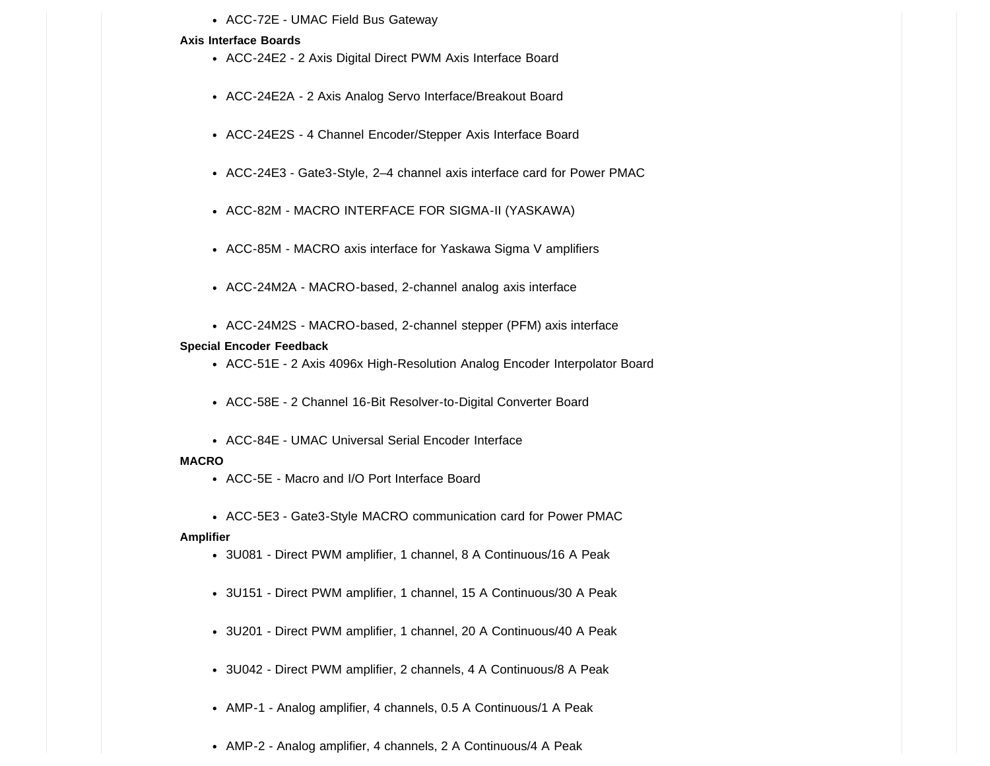• [ACC-72E - UMAC Field Bus Gateway](javascript:__doPostBack()

#### **Axis Interface Boards**

- [ACC-24E2 2 Axis Digital Direct PWM Axis Interface Board](javascript:__doPostBack()
- [ACC-24E2A 2 Axis Analog Servo Interface/Breakout Board](javascript:__doPostBack()
- [ACC-24E2S 4 Channel Encoder/Stepper Axis Interface Board](javascript:__doPostBack()
- [ACC-24E3 Gate3-Style, 2–4 channel axis interface card for Power PMAC](javascript:__doPostBack()
- [ACC-82M MACRO INTERFACE FOR SIGMA-II \(YASKAWA\)](javascript:__doPostBack()
- [ACC-85M MACRO axis interface for Yaskawa Sigma V amplifiers](javascript:__doPostBack()
- [ACC-24M2A MACRO-based, 2-channel analog axis interface](javascript:__doPostBack()
- [ACC-24M2S MACRO-based, 2-channel stepper \(PFM\) axis interface](javascript:__doPostBack()

### **Special Encoder Feedback**

- [ACC-51E 2 Axis 4096x High-Resolution Analog Encoder Interpolator Board](javascript:__doPostBack()
- [ACC-58E 2 Channel 16-Bit Resolver-to-Digital Converter Board](javascript:__doPostBack()
- [ACC-84E UMAC Universal Serial Encoder Interface](javascript:__doPostBack()

#### **MACRO**

- [ACC-5E Macro and I/O Port Interface Board](javascript:__doPostBack()
- [ACC-5E3 Gate3-Style MACRO communication card for Power PMAC](javascript:__doPostBack()

## **Amplifier**

- [3U081 Direct PWM amplifier, 1 channel, 8 A Continuous/16 A Peak](javascript:__doPostBack()
- [3U151 Direct PWM amplifier, 1 channel, 15 A Continuous/30 A Peak](javascript:__doPostBack()
- [3U201 Direct PWM amplifier, 1 channel, 20 A Continuous/40 A Peak](javascript:__doPostBack()
- [3U042 Direct PWM amplifier, 2 channels, 4 A Continuous/8 A Peak](javascript:__doPostBack()
- [AMP-1 Analog amplifier, 4 channels, 0.5 A Continuous/1 A Peak](javascript:__doPostBack()
- [AMP-2 Analog amplifier, 4 channels, 2 A Continuous/4 A Peak](javascript:__doPostBack()